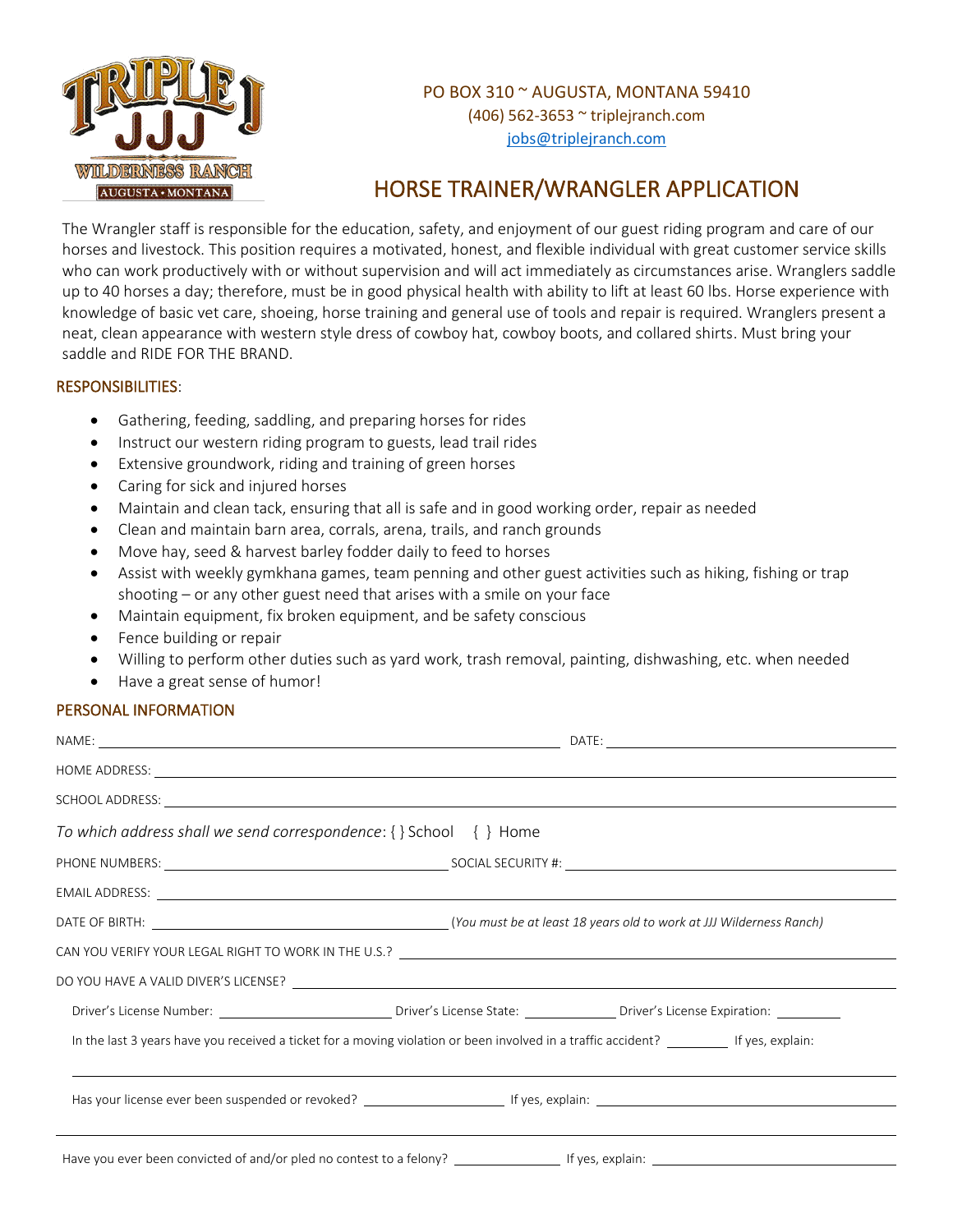

## PO BOX 310 ~ AUGUSTA, MONTANA 59410 (406) 562-3653 ~ triplejranch.com [jobs@triplejranch.com](mailto:jobs@triplejranch.com)

## HORSE TRAINER/WRANGLER APPLICATION

The Wrangler staff is responsible for the education, safety, and enjoyment of our guest riding program and care of our horses and livestock. This position requires a motivated, honest, and flexible individual with great customer service skills who can work productively with or without supervision and will act immediately as circumstances arise. Wranglers saddle up to 40 horses a day; therefore, must be in good physical health with ability to lift at least 60 lbs. Horse experience with knowledge of basic vet care, shoeing, horse training and general use of tools and repair is required. Wranglers present a neat, clean appearance with western style dress of cowboy hat, cowboy boots, and collared shirts. Must bring your saddle and RIDE FOR THE BRAND.

## RESPONSIBILITIES:

- Gathering, feeding, saddling, and preparing horses for rides
- Instruct our western riding program to guests, lead trail rides
- Extensive groundwork, riding and training of green horses
- Caring for sick and injured horses
- Maintain and clean tack, ensuring that all is safe and in good working order, repair as needed
- Clean and maintain barn area, corrals, arena, trails, and ranch grounds
- Move hay, seed & harvest barley fodder daily to feed to horses
- Assist with weekly gymkhana games, team penning and other guest activities such as hiking, fishing or trap shooting – or any other guest need that arises with a smile on your face
- Maintain equipment, fix broken equipment, and be safety conscious
- Fence building or repair
- Willing to perform other duties such as yard work, trash removal, painting, dishwashing, etc. when needed
- Have a great sense of humor!

## PERSONAL INFORMATION

|                                                                          | HOME ADDRESS: <u>New York: New York: New York: New York: New York: New York: New York: New York: New York: New York: New York: New York: New York: New York: New York: New York: New York: New York: New York: New York: New Yor</u> |
|--------------------------------------------------------------------------|--------------------------------------------------------------------------------------------------------------------------------------------------------------------------------------------------------------------------------------|
|                                                                          |                                                                                                                                                                                                                                      |
| To which address shall we send correspondence: $\{\}$ School $\{\}$ Home |                                                                                                                                                                                                                                      |
|                                                                          |                                                                                                                                                                                                                                      |
|                                                                          | EMAIL ADDRESS: <u>New York State of the State of the State of the State of the State of the State of the State of the State of the State of the State of the State of the State of the State of the State of the State of the St</u> |
|                                                                          |                                                                                                                                                                                                                                      |
|                                                                          | CAN YOU VERIFY YOUR LEGAL RIGHT TO WORK IN THE U.S.? NORTHALL AND THE U.S. AND THE U.S. AND THE U.S. AND THE U                                                                                                                       |
|                                                                          |                                                                                                                                                                                                                                      |
|                                                                          |                                                                                                                                                                                                                                      |
|                                                                          | In the last 3 years have you received a ticket for a moving violation or been involved in a traffic accident? _________ If yes, explain:                                                                                             |
|                                                                          |                                                                                                                                                                                                                                      |
|                                                                          |                                                                                                                                                                                                                                      |
|                                                                          |                                                                                                                                                                                                                                      |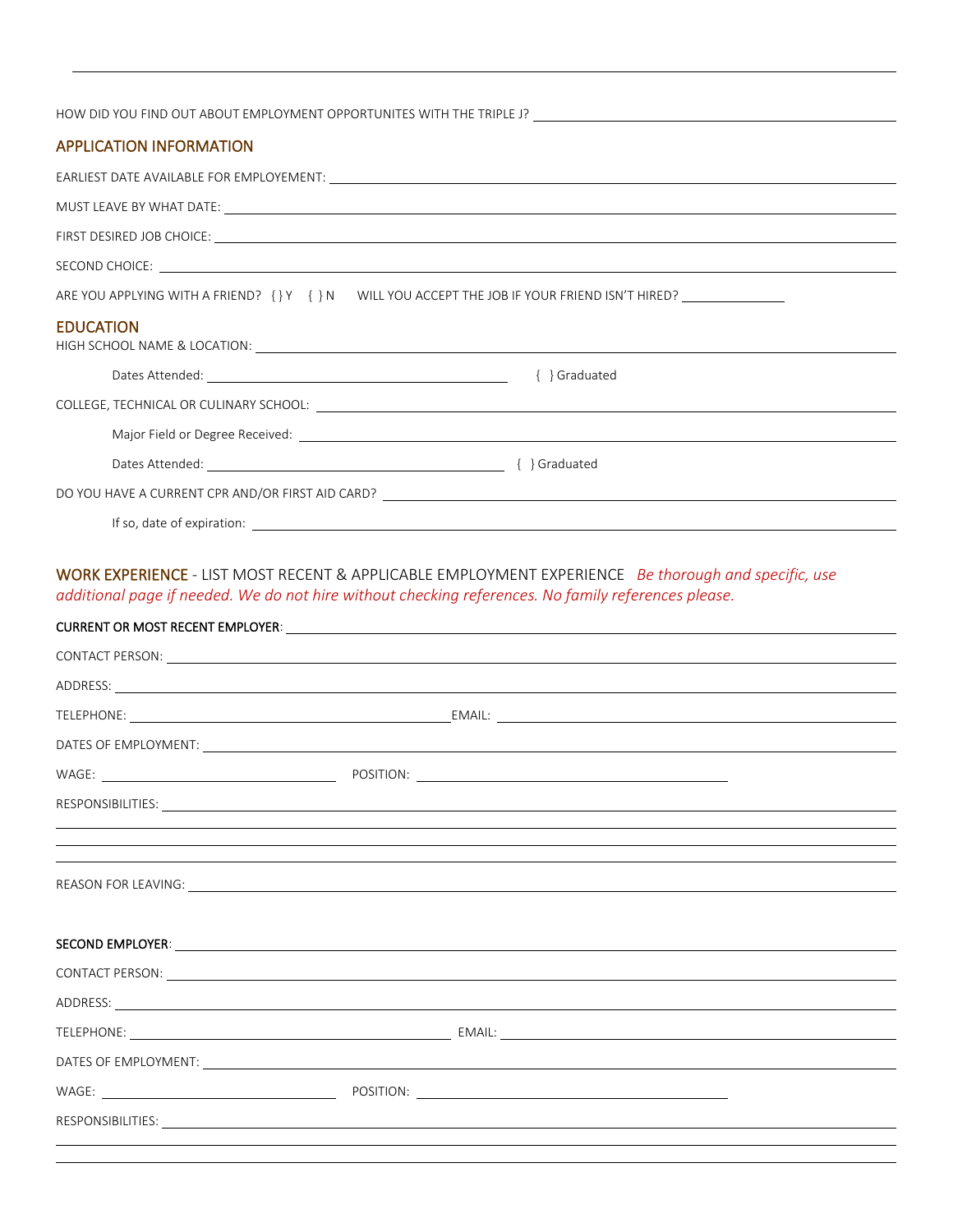HOW DID YOU FIND OUT ABOUT EMPLOYMENT OPPORTUNITES WITH THE TRIPLE J? APPLICATION INFORMATION EARLIEST DATE AVAILABLE FOR EMPLOYEMENT: MUST LEAVE BY WHAT DATE: FIRST DESIRED JOB CHOICE: SECOND CHOICE: ARE YOU APPLYING WITH A FRIEND? { } Y { } N WILL YOU ACCEPT THE JOB IF YOUR FRIEND ISN'T HIRED? **EDUCATION** HIGH SCHOOL NAME & LOCATION: Dates Attended: { } Graduated COLLEGE, TECHNICAL OR CULINARY SCHOOL: Major Field or Degree Received: Dates Attended:  $\{ \}$  Graduated DO YOU HAVE A CURRENT CPR AND/OR FIRST AID CARD? If so, date of expiration:

WORK EXPERIENCE - LIST MOST RECENT & APPLICABLE EMPLOYMENT EXPERIENCE *Be thorough and specific, use additional page if needed. We do not hire without checking references. No family references please.*

CURRENT OR MOST RECENT EMPLOYER.

| UUNNEINT UN IVIUST NEUEINT EIVIPEUTEN. TAASTAS ON ON HAARD EI STAATSTELLING ON HAARD EI STAATSTELLING ON DE ST                                                                                                                       |  |  |  |
|--------------------------------------------------------------------------------------------------------------------------------------------------------------------------------------------------------------------------------------|--|--|--|
|                                                                                                                                                                                                                                      |  |  |  |
| ADDRESS: New York Contract the Contract of the Contract of the Contract of the Contract of the Contract of the Contract of the Contract of the Contract of the Contract of the Contract of the Contract of the Contract of the       |  |  |  |
|                                                                                                                                                                                                                                      |  |  |  |
| DATES OF EMPLOYMENT: <u>New York Contract Construction</u>                                                                                                                                                                           |  |  |  |
|                                                                                                                                                                                                                                      |  |  |  |
|                                                                                                                                                                                                                                      |  |  |  |
|                                                                                                                                                                                                                                      |  |  |  |
| ,我们也不会有什么?""我们的人,我们也不会有什么?""我们的人,我们也不会有什么?""我们的人,我们也不会有什么?""我们的人,我们也不会有什么?""我们的人                                                                                                                                                     |  |  |  |
|                                                                                                                                                                                                                                      |  |  |  |
|                                                                                                                                                                                                                                      |  |  |  |
|                                                                                                                                                                                                                                      |  |  |  |
|                                                                                                                                                                                                                                      |  |  |  |
|                                                                                                                                                                                                                                      |  |  |  |
| CONTACT PERSON:                                                                                                                                                                                                                      |  |  |  |
| ADDRESS: And the contract of the contract of the contract of the contract of the contract of the contract of the contract of the contract of the contract of the contract of the contract of the contract of the contract of t       |  |  |  |
|                                                                                                                                                                                                                                      |  |  |  |
| DATES OF EMPLOYMENT: <u>Contract Communications of the set of the set of the set of the set of the set of the set of the set of the set of the set of the set of the set of the set of the set of the set of the set of the set </u> |  |  |  |
|                                                                                                                                                                                                                                      |  |  |  |
|                                                                                                                                                                                                                                      |  |  |  |
|                                                                                                                                                                                                                                      |  |  |  |
|                                                                                                                                                                                                                                      |  |  |  |
|                                                                                                                                                                                                                                      |  |  |  |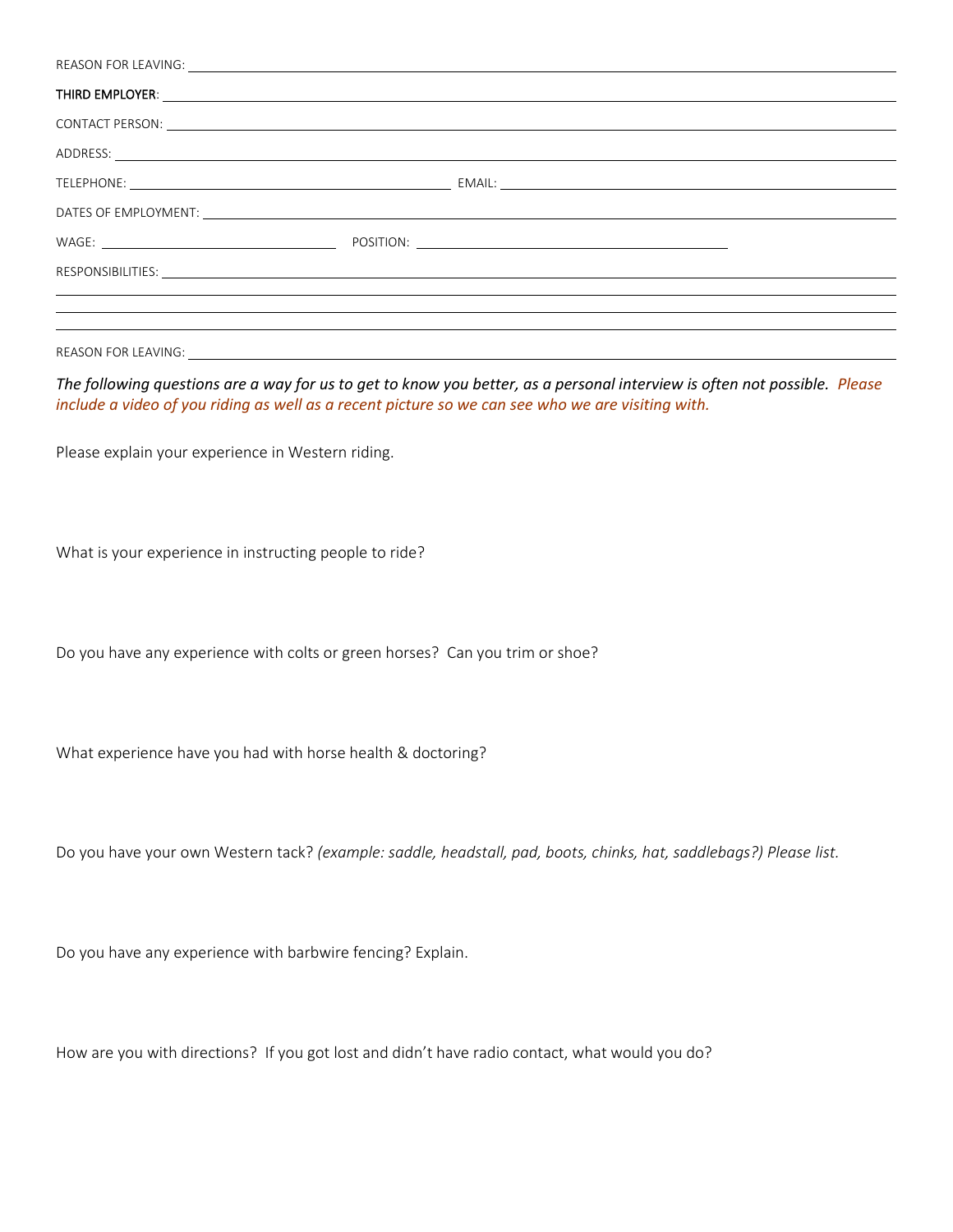| DATES OF EMPLOYMENT: <u>Contract of the contract of the contract of the contract of the contract of the contract of the contract of the contract of the contract of the contract of the contract of the contract of the contract</u> |
|--------------------------------------------------------------------------------------------------------------------------------------------------------------------------------------------------------------------------------------|
|                                                                                                                                                                                                                                      |
|                                                                                                                                                                                                                                      |
|                                                                                                                                                                                                                                      |
|                                                                                                                                                                                                                                      |

```
REASON FOR LEAVING:
```
*The following questions are a way for us to get to know you better, as a personal interview is often not possible. Please include a video of you riding as well as a recent picture so we can see who we are visiting with.*

Please explain your experience in Western riding.

What is your experience in instructing people to ride?

Do you have any experience with colts or green horses? Can you trim or shoe?

What experience have you had with horse health & doctoring?

Do you have your own Western tack? *(example: saddle, headstall, pad, boots, chinks, hat, saddlebags?) Please list.*

Do you have any experience with barbwire fencing? Explain.

How are you with directions? If you got lost and didn't have radio contact, what would you do?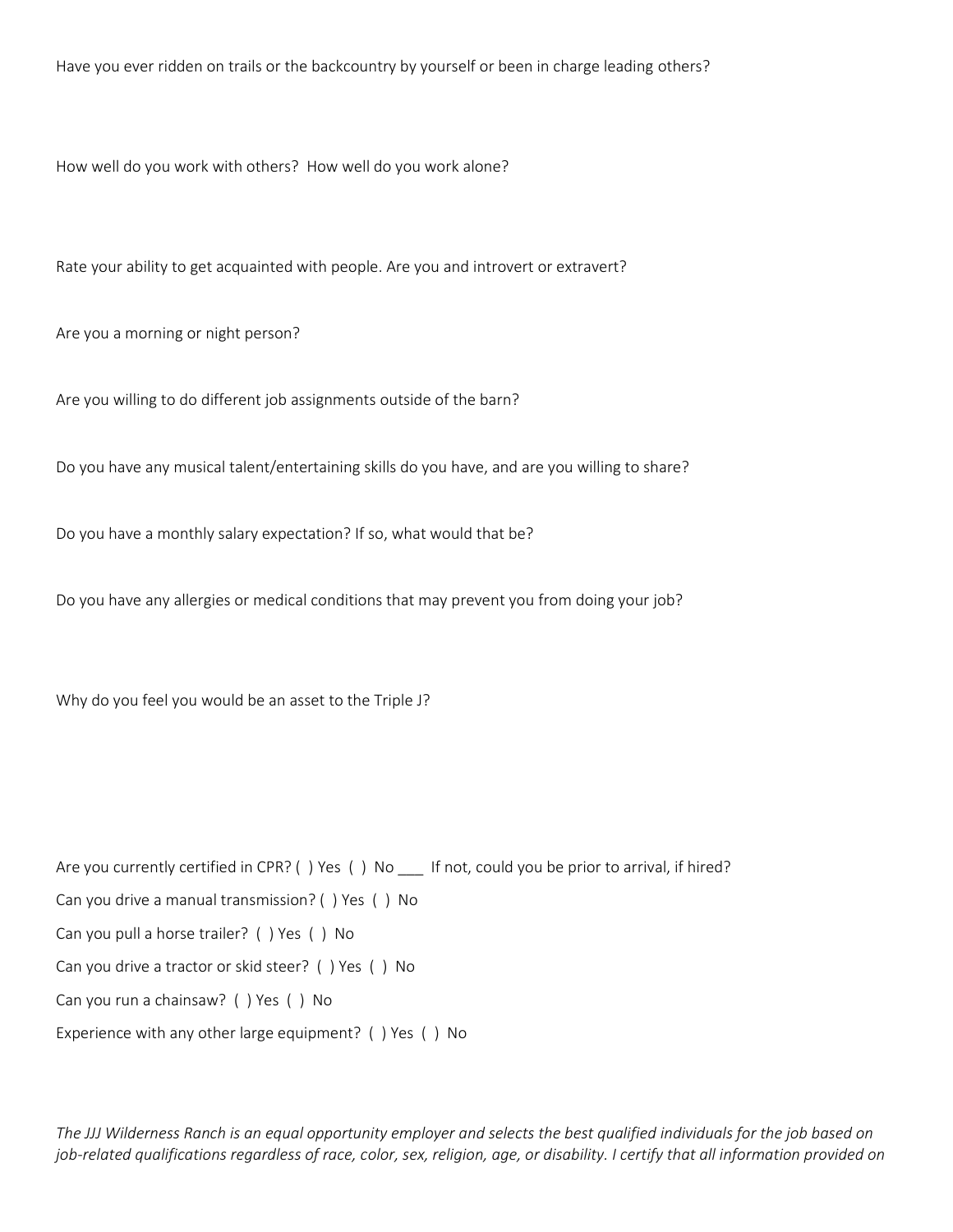Have you ever ridden on trails or the backcountry by yourself or been in charge leading others?

How well do you work with others? How well do you work alone?

Rate your ability to get acquainted with people. Are you and introvert or extravert?

Are you a morning or night person?

Are you willing to do different job assignments outside of the barn?

Do you have any musical talent/entertaining skills do you have, and are you willing to share?

Do you have a monthly salary expectation? If so, what would that be?

Do you have any allergies or medical conditions that may prevent you from doing your job?

Why do you feel you would be an asset to the Triple J?

Are you currently certified in CPR? () Yes () No \_\_\_ If not, could you be prior to arrival, if hired? Can you drive a manual transmission? ( ) Yes ( ) No Can you pull a horse trailer? ( ) Yes ( ) No Can you drive a tractor or skid steer? ( ) Yes ( ) No Can you run a chainsaw? ( ) Yes ( ) No Experience with any other large equipment? ( ) Yes ( ) No

*The JJJ Wilderness Ranch is an equal opportunity employer and selects the best qualified individuals for the job based on job-related qualifications regardless of race, color, sex, religion, age, or disability. I certify that all information provided on*